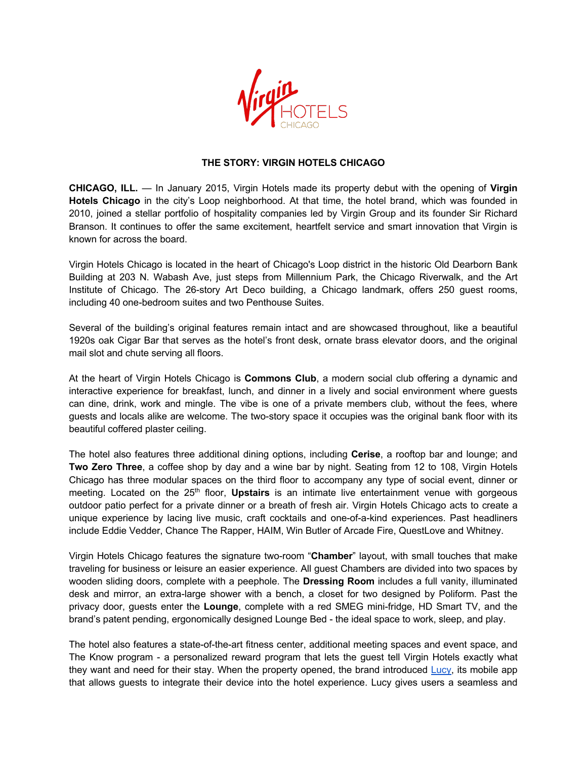

## **THE STORY: VIRGIN HOTELS CHICAGO**

**CHICAGO, ILL.** — In January 2015, Virgin Hotels made its property debut with the opening of **Virgin Hotels Chicago** in the city's Loop neighborhood. At that time, the hotel brand, which was founded in 2010, joined a stellar portfolio of hospitality companies led by Virgin Group and its founder Sir Richard Branson. It continues to offer the same excitement, heartfelt service and smart innovation that Virgin is known for across the board.

Virgin Hotels Chicago is located in the heart of Chicago's Loop district in the historic Old Dearborn Bank Building at 203 N. Wabash Ave, just steps from Millennium Park, the Chicago Riverwalk, and the Art Institute of Chicago. The 26-story Art Deco building, a Chicago landmark, offers 250 guest rooms, including 40 one-bedroom suites and two Penthouse Suites.

Several of the building's original features remain intact and are showcased throughout, like a beautiful 1920s oak Cigar Bar that serves as the hotel's front desk, ornate brass elevator doors, and the original mail slot and chute serving all floors.

At the heart of Virgin Hotels Chicago is **Commons Club**, a modern social club offering a dynamic and interactive experience for breakfast, lunch, and dinner in a lively and social environment where guests can dine, drink, work and mingle. The vibe is one of a private members club, without the fees, where guests and locals alike are welcome. The two-story space it occupies was the original bank floor with its beautiful coffered plaster ceiling.

The hotel also features three additional dining options, including **Cerise**, a rooftop bar and lounge; and **Two Zero Three**, a coffee shop by day and a wine bar by night. Seating from 12 to 108, Virgin Hotels Chicago has three modular spaces on the third floor to accompany any type of social event, dinner or meeting. Located on the 25<sup>th</sup> floor, **Upstairs** is an intimate live entertainment venue with gorgeous outdoor patio perfect for a private dinner or a breath of fresh air. Virgin Hotels Chicago acts to create a unique experience by lacing live music, craft cocktails and one-of-a-kind experiences. Past headliners include Eddie Vedder, Chance The Rapper, HAIM, Win Butler of Arcade Fire, QuestLove and Whitney.

Virgin Hotels Chicago features the signature two-room "**Chamber**" layout, with small touches that make traveling for business or leisure an easier experience. All guest Chambers are divided into two spaces by wooden sliding doors, complete with a peephole. The **Dressing Room** includes a full vanity, illuminated desk and mirror, an extra-large shower with a bench, a closet for two designed by Poliform. Past the privacy door, guests enter the **Lounge**, complete with a red SMEG mini-fridge, HD Smart TV, and the brand's patent pending, ergonomically designed Lounge Bed - the ideal space to work, sleep, and play.

The hotel also features a state-of-the-art fitness center, additional meeting spaces and event space, and The Know program - a personalized reward program that lets the guest tell Virgin Hotels exactly what they want and need for their stay. When the property opened, the brand introduced Lucy, its mobile app that allows guests to integrate their device into the hotel experience. Lucy gives users a seamless and